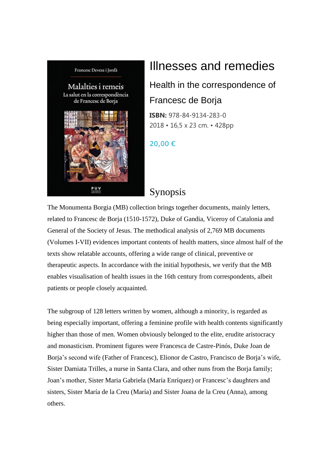

## Illnesses and remedies

Health in the correspondence of Francesc de Borja

**ISBN:** 978-84-9134-283-0 2018 • 16,5 x 23 cm. • 428pp

20,00 €

## Synopsis

The Monumenta Borgia (MB) collection brings together documents, mainly letters, related to Francesc de Borja (1510-1572), Duke of Gandia, Viceroy of Catalonia and General of the Society of Jesus. The methodical analysis of 2,769 MB documents (Volumes I-VII) evidences important contents of health matters, since almost half of the texts show relatable accounts, offering a wide range of clinical, preventive or therapeutic aspects. In accordance with the initial hypothesis, we verify that the MB enables visualisation of health issues in the 16th century from correspondents, albeit patients or people closely acquainted.

The subgroup of 128 letters written by women, although a minority, is regarded as being especially important, offering a feminine profile with health contents significantly higher than those of men. Women obviously belonged to the elite, erudite aristocracy and monasticism. Prominent figures were Francesca de Castre-Pinós, Duke Joan de Borja's second wife (Father of Francesc), Elionor de Castro, Francisco de Borja's wife, Sister Damiata Trilles, a nurse in Santa Clara, and other nuns from the Borja family; Joan's mother, Sister Maria Gabriela (María Enríquez) or Francesc's daughters and sisters, Sister María de la Creu (María) and Sister Joana de la Creu (Anna), among others.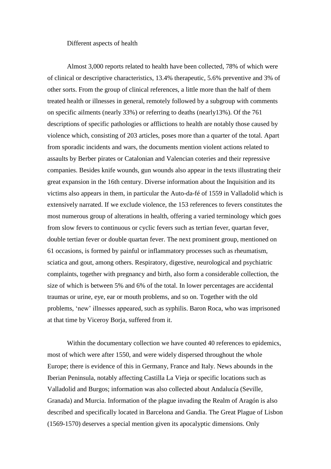## Different aspects of health

Almost 3,000 reports related to health have been collected, 78% of which were of clinical or descriptive characteristics, 13.4% therapeutic, 5.6% preventive and 3% of other sorts. From the group of clinical references, a little more than the half of them treated health or illnesses in general, remotely followed by a subgroup with comments on specific ailments (nearly 33%) or referring to deaths (nearly13%). Of the 761 descriptions of specific pathologies or afflictions to health are notably those caused by violence which, consisting of 203 articles, poses more than a quarter of the total. Apart from sporadic incidents and wars, the documents mention violent actions related to assaults by Berber pirates or Catalonian and Valencian coteries and their repressive companies. Besides knife wounds, gun wounds also appear in the texts illustrating their great expansion in the 16th century. Diverse information about the Inquisition and its victims also appears in them, in particular the Auto-da-fé of 1559 in Valladolid which is extensively narrated. If we exclude violence, the 153 references to fevers constitutes the most numerous group of alterations in health, offering a varied terminology which goes from slow fevers to continuous or cyclic fevers such as tertian fever, quartan fever, double tertian fever or double quartan fever. The next prominent group, mentioned on 61 occasions, is formed by painful or inflammatory processes such as rheumatism, sciatica and gout, among others. Respiratory, digestive, neurological and psychiatric complaints, together with pregnancy and birth, also form a considerable collection, the size of which is between 5% and 6% of the total. In lower percentages are accidental traumas or urine, eye, ear or mouth problems, and so on. Together with the old problems, 'new' illnesses appeared, such as syphilis. Baron Roca, who was imprisoned at that time by Viceroy Borja, suffered from it.

Within the documentary collection we have counted 40 references to epidemics, most of which were after 1550, and were widely dispersed throughout the whole Europe; there is evidence of this in Germany, France and Italy. News abounds in the Iberian Peninsula, notably affecting Castilla La Vieja or specific locations such as Valladolid and Burgos; information was also collected about Andalucía (Seville, Granada) and Murcia. Information of the plague invading the Realm of Aragón is also described and specifically located in Barcelona and Gandia. The Great Plague of Lisbon (1569-1570) deserves a special mention given its apocalyptic dimensions. Only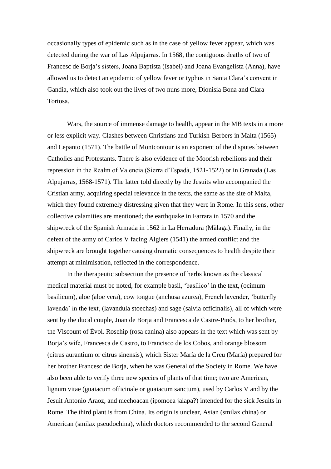occasionally types of epidemic such as in the case of yellow fever appear, which was detected during the war of Las Alpujarras. In 1568, the contiguous deaths of two of Francesc de Borja's sisters, Joana Baptista (Isabel) and Joana Evangelista (Anna), have allowed us to detect an epidemic of yellow fever or typhus in Santa Clara's convent in Gandia, which also took out the lives of two nuns more, Dionisia Bona and Clara Tortosa.

Wars, the source of immense damage to health, appear in the MB texts in a more or less explicit way. Clashes between Christians and Turkish-Berbers in Malta (1565) and Lepanto (1571). The battle of Montcontour is an exponent of the disputes between Catholics and Protestants. There is also evidence of the Moorish rebellions and their repression in the Realm of Valencia (Sierra d'Espadà, 1521-1522) or in Granada (Las Alpujarras, 1568-1571). The latter told directly by the Jesuits who accompanied the Cristian army, acquiring special relevance in the texts, the same as the site of Malta, which they found extremely distressing given that they were in Rome. In this sens, other collective calamities are mentioned; the earthquake in Farrara in 1570 and the shipwreck of the Spanish Armada in 1562 in La Herradura (Màlaga). Finally, in the defeat of the army of Carlos V facing Algiers (1541) the armed conflict and the shipwreck are brought together causing dramatic consequences to health despite their attempt at minimisation, reflected in the correspondence.

In the therapeutic subsection the presence of herbs known as the classical medical material must be noted, for example basil, 'basílico' in the text, (ocimum basilicum), aloe (aloe vera), cow tongue (anchusa azurea), French lavender, 'butterfly lavenda' in the text, (lavandula stoechas) and sage (salvia officinalis), all of which were sent by the ducal couple, Joan de Borja and Francesca de Castre-Pinós, to her brother, the Viscount of Évol. Rosehip (rosa canina) also appears in the text which was sent by Borja's wife, Francesca de Castro, to Francisco de los Cobos, and orange blossom (citrus aurantium or citrus sinensis), which Sister María de la Creu (María) prepared for her brother Francesc de Borja, when he was General of the Society in Rome. We have also been able to verify three new species of plants of that time; two are American, lignum vitae (guaiacum officinale or guaiacum sanctum), used by Carlos V and by the Jesuit Antonio Araoz, and mechoacan (ipomoea jalapa?) intended for the sick Jesuits in Rome. The third plant is from China. Its origin is unclear, Asian (smilax china) or American (smilax pseudochina), which doctors recommended to the second General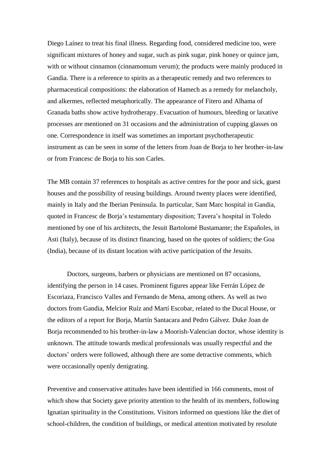Diego Laínez to treat his final illness. Regarding food, considered medicine too, were significant mixtures of honey and sugar, such as pink sugar, pink honey or quince jam, with or without cinnamon (cinnamomum verum); the products were mainly produced in Gandia. There is a reference to spirits as a therapeutic remedy and two references to pharmaceutical compositions: the elaboration of Hamech as a remedy for melancholy, and alkermes, reflected metaphorically. The appearance of Fitero and Alhama of Granada baths show active hydrotherapy. Evacuation of humours, bleeding or laxative processes are mentioned on 31 occasions and the administration of cupping glasses on one. Correspondence in itself was sometimes an important psychotherapeutic instrument as can be seen in some of the letters from Joan de Borja to her brother-in-law or from Francesc de Borja to his son Carles.

The MB contain 37 references to hospitals as active centres for the poor and sick, guest houses and the possibility of reusing buildings. Around twenty places were identified, mainly in Italy and the Iberian Peninsula. In particular, Sant Marc hospital in Gandia, quoted in Francesc de Borja's testamentary disposition; Tavera's hospital in Toledo mentioned by one of his architects, the Jesuit Bartolomé Bustamante; the Españoles, in Asti (Italy), because of its distinct financing, based on the quotes of soldiers; the Goa (India), because of its distant location with active participation of the Jesuits.

Doctors, surgeons, barbers or physicians are mentioned on 87 occasions, identifying the person in 14 cases. Prominent figures appear like Ferrán López de Escoriaza, Francisco Valles and Fernando de Mena, among others. As well as two doctors from Gandia, Melcior Ruíz and Martí Escobar, related to the Ducal House, or the editors of a report for Borja, Martín Santacara and Pedro Gálvez. Duke Joan de Borja recommended to his brother-in-law a Moorish-Valencian doctor, whose identity is unknown. The attitude towards medical professionals was usually respectful and the doctors' orders were followed, although there are some detractive comments, which were occasionally openly denigrating.

Preventive and conservative attitudes have been identified in 166 comments, most of which show that Society gave priority attention to the health of its members, following Ignatian spirituality in the Constitutions. Visitors informed on questions like the diet of school-children, the condition of buildings, or medical attention motivated by resolute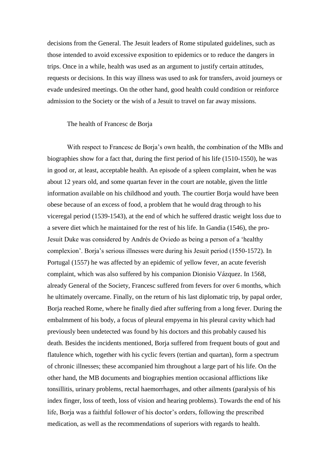decisions from the General. The Jesuit leaders of Rome stipulated guidelines, such as those intended to avoid excessive exposition to epidemics or to reduce the dangers in trips. Once in a while, health was used as an argument to justify certain attitudes, requests or decisions. In this way illness was used to ask for transfers, avoid journeys or evade undesired meetings. On the other hand, good health could condition or reinforce admission to the Society or the wish of a Jesuit to travel on far away missions.

## The health of Francesc de Borja

With respect to Francesc de Borja's own health, the combination of the MBs and biographies show for a fact that, during the first period of his life (1510-1550), he was in good or, at least, acceptable health. An episode of a spleen complaint, when he was about 12 years old, and some quartan fever in the court are notable, given the little information available on his childhood and youth. The courtier Borja would have been obese because of an excess of food, a problem that he would drag through to his viceregal period (1539-1543), at the end of which he suffered drastic weight loss due to a severe diet which he maintained for the rest of his life. In Gandia (1546), the pro-Jesuit Duke was considered by Andrés de Oviedo as being a person of a 'healthy complexion'. Borja's serious illnesses were during his Jesuit period (1550-1572). In Portugal (1557) he was affected by an epidemic of yellow fever, an acute feverish complaint, which was also suffered by his companion Dionisio Vázquez. In 1568, already General of the Society, Francesc suffered from fevers for over 6 months, which he ultimately overcame. Finally, on the return of his last diplomatic trip, by papal order, Borja reached Rome, where he finally died after suffering from a long fever. During the embalmment of his body, a focus of pleural empyema in his pleural cavity which had previously been undetected was found by his doctors and this probably caused his death. Besides the incidents mentioned, Borja suffered from frequent bouts of gout and flatulence which, together with his cyclic fevers (tertian and quartan), form a spectrum of chronic illnesses; these accompanied him throughout a large part of his life. On the other hand, the MB documents and biographies mention occasional afflictions like tonsillitis, urinary problems, rectal haemorrhages, and other ailments (paralysis of his index finger, loss of teeth, loss of vision and hearing problems). Towards the end of his life, Borja was a faithful follower of his doctor's orders, following the prescribed medication, as well as the recommendations of superiors with regards to health.